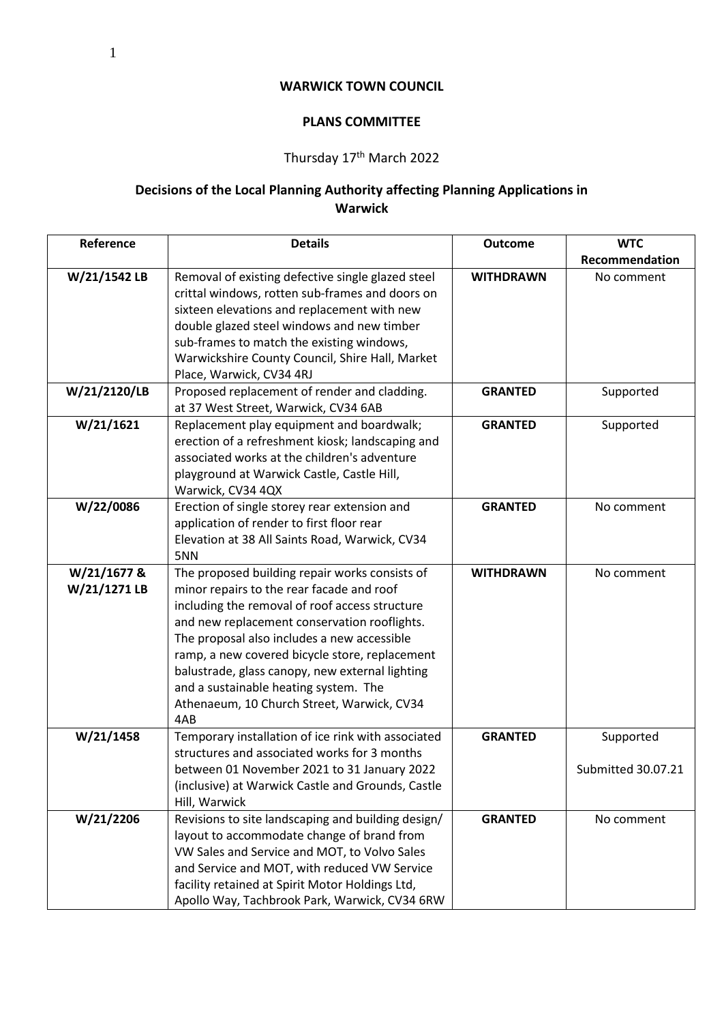## **WARWICK TOWN COUNCIL**

## **PLANS COMMITTEE**

## Thursday 17<sup>th</sup> March 2022

## **Decisions of the Local Planning Authority affecting Planning Applications in Warwick**

| Reference                   | <b>Details</b>                                                                                                                                                                                                                                                                                                                                   | <b>Outcome</b>   | <b>WTC</b>         |
|-----------------------------|--------------------------------------------------------------------------------------------------------------------------------------------------------------------------------------------------------------------------------------------------------------------------------------------------------------------------------------------------|------------------|--------------------|
|                             |                                                                                                                                                                                                                                                                                                                                                  |                  | Recommendation     |
| W/21/1542 LB                | Removal of existing defective single glazed steel<br>crittal windows, rotten sub-frames and doors on<br>sixteen elevations and replacement with new<br>double glazed steel windows and new timber<br>sub-frames to match the existing windows,                                                                                                   | <b>WITHDRAWN</b> | No comment         |
|                             | Warwickshire County Council, Shire Hall, Market                                                                                                                                                                                                                                                                                                  |                  |                    |
|                             | Place, Warwick, CV34 4RJ                                                                                                                                                                                                                                                                                                                         |                  |                    |
| W/21/2120/LB                | Proposed replacement of render and cladding.<br>at 37 West Street, Warwick, CV34 6AB                                                                                                                                                                                                                                                             | <b>GRANTED</b>   | Supported          |
| W/21/1621                   | Replacement play equipment and boardwalk;<br>erection of a refreshment kiosk; landscaping and<br>associated works at the children's adventure<br>playground at Warwick Castle, Castle Hill,<br>Warwick, CV34 4QX                                                                                                                                 | <b>GRANTED</b>   | Supported          |
| W/22/0086                   | Erection of single storey rear extension and<br>application of render to first floor rear<br>Elevation at 38 All Saints Road, Warwick, CV34<br>5NN                                                                                                                                                                                               | <b>GRANTED</b>   | No comment         |
| W/21/1677 &<br>W/21/1271 LB | The proposed building repair works consists of<br>minor repairs to the rear facade and roof                                                                                                                                                                                                                                                      | <b>WITHDRAWN</b> | No comment         |
|                             | including the removal of roof access structure<br>and new replacement conservation rooflights.<br>The proposal also includes a new accessible<br>ramp, a new covered bicycle store, replacement<br>balustrade, glass canopy, new external lighting<br>and a sustainable heating system. The<br>Athenaeum, 10 Church Street, Warwick, CV34<br>4AB |                  |                    |
| W/21/1458                   | Temporary installation of ice rink with associated                                                                                                                                                                                                                                                                                               | <b>GRANTED</b>   | Supported          |
|                             | structures and associated works for 3 months<br>between 01 November 2021 to 31 January 2022<br>(inclusive) at Warwick Castle and Grounds, Castle<br>Hill, Warwick                                                                                                                                                                                |                  | Submitted 30.07.21 |
| W/21/2206                   | Revisions to site landscaping and building design/<br>layout to accommodate change of brand from<br>VW Sales and Service and MOT, to Volvo Sales<br>and Service and MOT, with reduced VW Service<br>facility retained at Spirit Motor Holdings Ltd,<br>Apollo Way, Tachbrook Park, Warwick, CV34 6RW                                             | <b>GRANTED</b>   | No comment         |